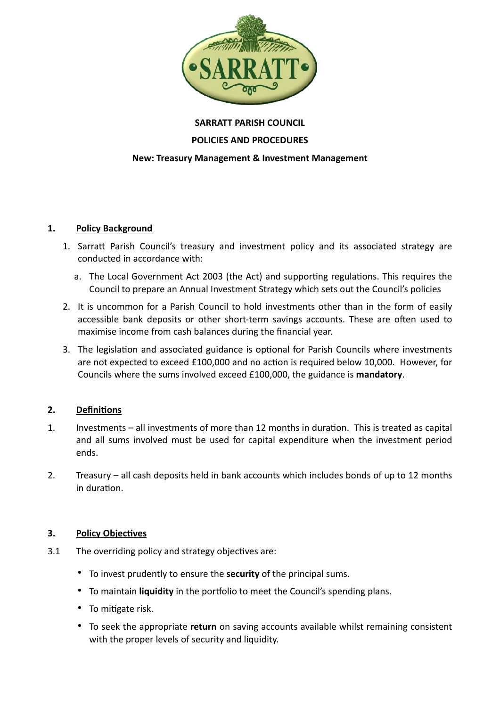

## **SARRATT PARISH COUNCIL**

### **POLICIES AND PROCEDURES**

#### **New: Treasury Management & Investment Management**

#### **1. Policy Background**

- 1. Sarratt Parish Council's treasury and investment policy and its associated strategy are conducted in accordance with:
	- a. The Local Government Act 2003 (the Act) and supporting regulations. This requires the Council to prepare an Annual Investment Strategy which sets out the Council's policies
- 2. It is uncommon for a Parish Council to hold investments other than in the form of easily accessible bank deposits or other short-term savings accounts. These are often used to maximise income from cash balances during the financial year.
- 3. The legislation and associated guidance is optional for Parish Councils where investments are not expected to exceed £100,000 and no action is required below 10,000. However, for Councils where the sums involved exceed £100,000, the guidance is **mandatory**.

### **2. Definitions**

- 1. Investments all investments of more than 12 months in duration. This is treated as capital and all sums involved must be used for capital expenditure when the investment period ends.
- 2. Treasury all cash deposits held in bank accounts which includes bonds of up to 12 months in duration.

### **3. Policy Objectives**

- 3.1 The overriding policy and strategy objectives are:
	- To invest prudently to ensure the **security** of the principal sums.
	- To maintain **liquidity** in the portfolio to meet the Council's spending plans.
	- To mitigate risk.
	- To seek the appropriate **return** on saving accounts available whilst remaining consistent with the proper levels of security and liquidity.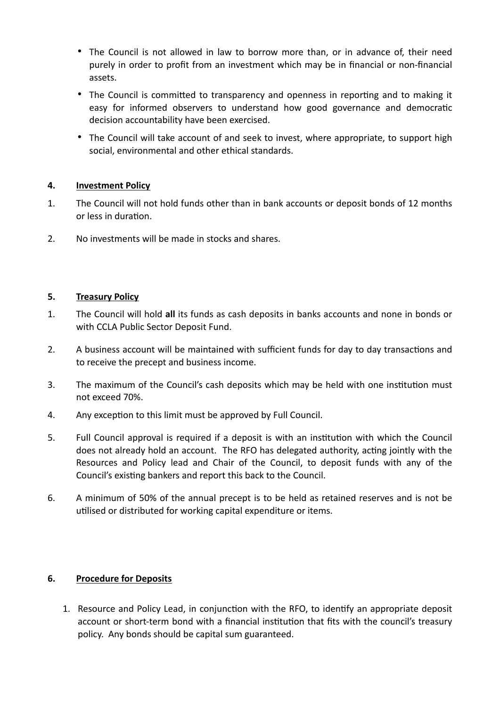- The Council is not allowed in law to borrow more than, or in advance of, their need purely in order to profit from an investment which may be in financial or non-financial assets.
- The Council is committed to transparency and openness in reporting and to making it easy for informed observers to understand how good governance and democratic decision accountability have been exercised.
- The Council will take account of and seek to invest, where appropriate, to support high social, environmental and other ethical standards.

# **4. Investment Policy**

- 1. The Council will not hold funds other than in bank accounts or deposit bonds of 12 months or less in duration.
- 2. No investments will be made in stocks and shares.

### **5. Treasury Policy**

- 1. The Council will hold **all** its funds as cash deposits in banks accounts and none in bonds or with CCLA Public Sector Deposit Fund.
- 2. A business account will be maintained with sufficient funds for day to day transactions and to receive the precept and business income.
- 3. The maximum of the Council's cash deposits which may be held with one institution must not exceed 70%.
- 4. Any exception to this limit must be approved by Full Council.
- 5. Full Council approval is required if a deposit is with an institution with which the Council does not already hold an account. The RFO has delegated authority, acting jointly with the Resources and Policy lead and Chair of the Council, to deposit funds with any of the Council's existing bankers and report this back to the Council.
- 6. A minimum of 50% of the annual precept is to be held as retained reserves and is not be utilised or distributed for working capital expenditure or items.

# **6. Procedure for Deposits**

1. Resource and Policy Lead, in conjunction with the RFO, to identify an appropriate deposit account or short-term bond with a financial institution that fits with the council's treasury policy. Any bonds should be capital sum guaranteed.